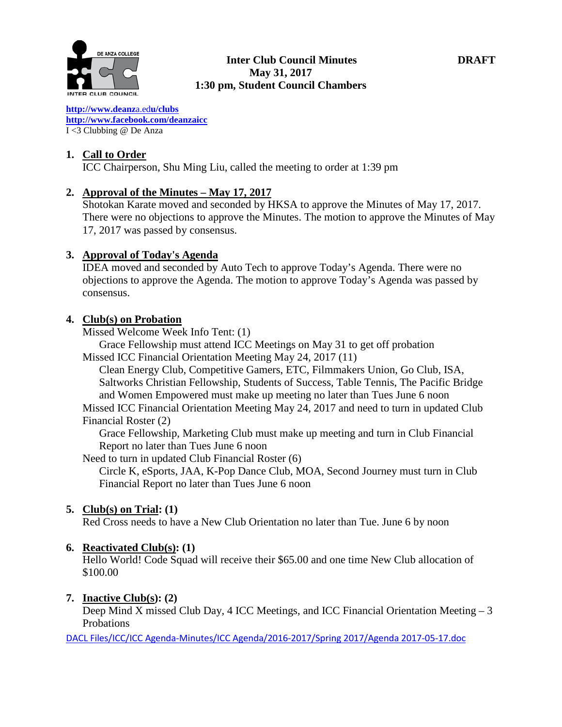

#### **Inter Club Council Minutes DRAFT May 31, 2017 1:30 pm, Student Council Chambers**

**[http://www.deanz](http://www.deanza.edu/clubs)**[a.ed](http://www.deanza.edu/clubs)**[u/clubs](http://www.deanza.edu/clubs) [http://www.facebook.com/deanzaicc](http://www.facebook.com/home.php#!/group.php?gid=59034552686)** I <3 Clubbing @ De Anza

# **1. Call to Order**

ICC Chairperson, Shu Ming Liu, called the meeting to order at 1:39 pm

# **2. Approval of the Minutes – May 17, 2017**

Shotokan Karate moved and seconded by HKSA to approve the Minutes of May 17, 2017. There were no objections to approve the Minutes. The motion to approve the Minutes of May 17, 2017 was passed by consensus.

# **3. Approval of Today's Agenda**

IDEA moved and seconded by Auto Tech to approve Today's Agenda. There were no objections to approve the Agenda. The motion to approve Today's Agenda was passed by consensus.

# **4. Club(s) on Probation**

Missed Welcome Week Info Tent: (1)

Grace Fellowship must attend ICC Meetings on May 31 to get off probation Missed ICC Financial Orientation Meeting May 24, 2017 (11)

Clean Energy Club, Competitive Gamers, ETC, Filmmakers Union, Go Club, ISA, Saltworks Christian Fellowship, Students of Success, Table Tennis, The Pacific Bridge and Women Empowered must make up meeting no later than Tues June 6 noon

Missed ICC Financial Orientation Meeting May 24, 2017 and need to turn in updated Club Financial Roster (2)

Grace Fellowship, Marketing Club must make up meeting and turn in Club Financial Report no later than Tues June 6 noon

Need to turn in updated Club Financial Roster (6)

Circle K, eSports, JAA, K-Pop Dance Club, MOA, Second Journey must turn in Club Financial Report no later than Tues June 6 noon

# **5. Club(s) on Trial: (1)**

Red Cross needs to have a New Club Orientation no later than Tue. June 6 by noon

# **6. Reactivated Club(s): (1)**

Hello World! Code Squad will receive their \$65.00 and one time New Club allocation of \$100.00

# **7. Inactive Club(s): (2)**

Deep Mind X missed Club Day, 4 ICC Meetings, and ICC Financial Orientation Meeting – 3 Probations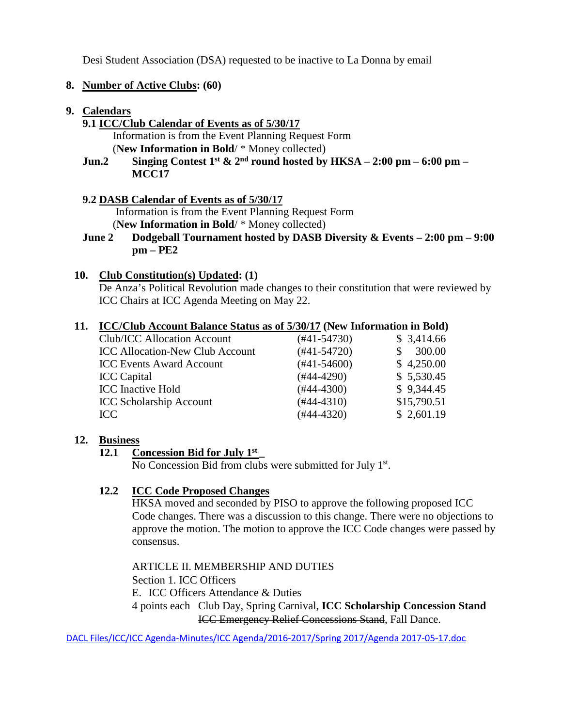Desi Student Association (DSA) requested to be inactive to La Donna by email

## **8. Number of Active Clubs: (60)**

#### **9. Calendars**

# **9.1 ICC/Club Calendar of Events as of 5/30/17**

 Information is from the Event Planning Request Form (**New Information in Bold**/ \* Money collected)

**Jun.2 Singing Contest 1<sup>st</sup> & 2<sup>nd</sup> round hosted by HKSA – 2:00 pm – 6:00 pm – MCC17**

#### **9.2 DASB Calendar of Events as of 5/30/17**

Information is from the Event Planning Request Form (**New Information in Bold**/ \* Money collected)

# **June 2 Dodgeball Tournament hosted by DASB Diversity & Events – 2:00 pm – 9:00**

**pm – PE2**

#### **10. Club Constitution(s) Updated: (1)**

De Anza's Political Revolution made changes to their constitution that were reviewed by ICC Chairs at ICC Agenda Meeting on May 22.

#### **11. ICC/Club Account Balance Status as of 5/30/17 (New Information in Bold)**

| Club/ICC Allocation Account            | (#41-54730)      | \$3,414.66  |
|----------------------------------------|------------------|-------------|
| <b>ICC Allocation-New Club Account</b> | $(#41-54720)$    | 300.00      |
| <b>ICC Events Award Account</b>        | $(\#41 - 54600)$ | \$4,250.00  |
| <b>ICC</b> Capital                     | $(#44-4290)$     | \$5,530.45  |
| <b>ICC</b> Inactive Hold               | $(#44-4300)$     | \$9,344.45  |
| <b>ICC Scholarship Account</b>         | $(#44-4310)$     | \$15,790.51 |
| ICC                                    | $(#44-4320)$     | \$2,601.19  |
|                                        |                  |             |

#### **12. Business**

#### **12.1 Concession Bid for July 1st \_**

No Concession Bid from clubs were submitted for July 1<sup>st</sup>.

# **12.2 ICC Code Proposed Changes**

HKSA moved and seconded by PISO to approve the following proposed ICC Code changes. There was a discussion to this change. There were no objections to approve the motion. The motion to approve the ICC Code changes were passed by consensus.

#### ARTICLE II. MEMBERSHIP AND DUTIES

Section 1. ICC Officers

E. ICC Officers Attendance & Duties

4 points each Club Day, Spring Carnival, **ICC Scholarship Concession Stand** ICC Emergency Relief Concessions Stand, Fall Dance.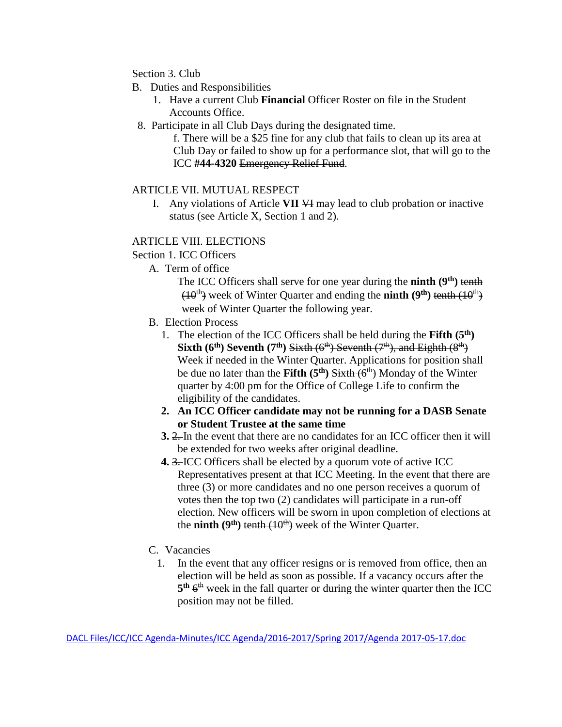# Section 3. Club

- B. Duties and Responsibilities
	- 1. Have a current Club **Financial** Officer Roster on file in the Student Accounts Office.
- 8. Participate in all Club Days during the designated time.

f. There will be a \$25 fine for any club that fails to clean up its area at Club Day or failed to show up for a performance slot, that will go to the ICC **#44-4320** Emergency Relief Fund.

#### ARTICLE VII. MUTUAL RESPECT

I. Any violations of Article **VII** VI may lead to club probation or inactive status (see Article X, Section 1 and 2).

#### ARTICLE VIII. ELECTIONS

Section 1. ICC Officers

- A. Term of office
	- The ICC Officers shall serve for one year during the **ninth (9th)** tenth  $(10<sup>th</sup>)$  week of Winter Quarter and ending the **ninth**  $(9<sup>th</sup>)$  tenth  $(10<sup>th</sup>)$ week of Winter Quarter the following year.
- B. Election Process
	- 1. The election of the ICC Officers shall be held during the **Fifth (5th) Sixth (6<sup>th</sup>) Seventh (7<sup>th</sup>) Sixth (6<sup>th</sup>) Seventh (7<sup>th</sup>), and Eighth (8<sup>th</sup>)** Week if needed in the Winter Quarter. Applications for position shall be due no later than the Fifth (5<sup>th</sup>) Sixth (6<sup>th</sup>) Monday of the Winter quarter by 4:00 pm for the Office of College Life to confirm the eligibility of the candidates.
	- **2. An ICC Officer candidate may not be running for a DASB Senate or Student Trustee at the same time**
	- **3.** 2. In the event that there are no candidates for an ICC officer then it will be extended for two weeks after original deadline.
	- **4.** 3. ICC Officers shall be elected by a quorum vote of active ICC Representatives present at that ICC Meeting. In the event that there are three (3) or more candidates and no one person receives a quorum of votes then the top two (2) candidates will participate in a run-off election. New officers will be sworn in upon completion of elections at the **ninth** ( $9<sup>th</sup>$ ) tenth  $(10<sup>th</sup>)$  week of the Winter Quarter.
- C. Vacancies
	- 1. In the event that any officer resigns or is removed from office, then an election will be held as soon as possible. If a vacancy occurs after the  $5<sup>th</sup> 6<sup>th</sup>$  week in the fall quarter or during the winter quarter then the ICC position may not be filled.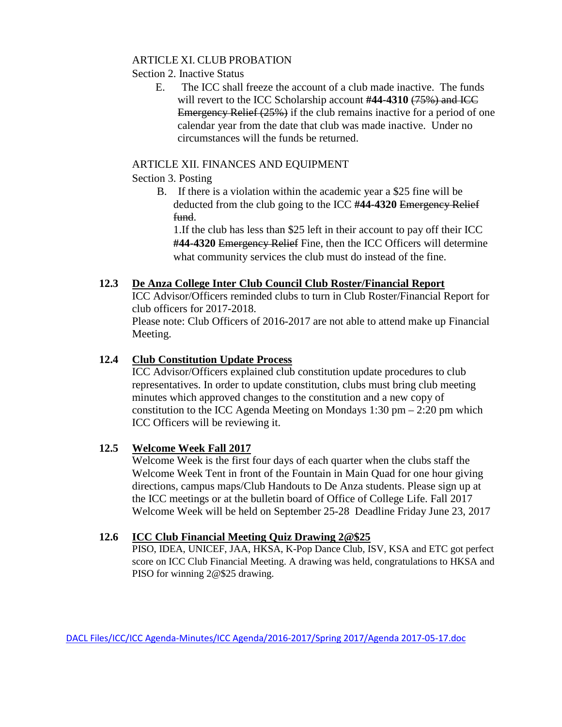## ARTICLE XI. CLUB PROBATION

Section 2. Inactive Status

 E. The ICC shall freeze the account of a club made inactive. The funds will revert to the ICC Scholarship account #44-4310 (75%) and ICC Emergency Relief (25%) if the club remains inactive for a period of one calendar year from the date that club was made inactive. Under no circumstances will the funds be returned.

# ARTICLE XII. FINANCES AND EQUIPMENT

## Section 3. Posting

B. If there is a violation within the academic year a \$25 fine will be deducted from the club going to the ICC **#44-4320** Emergency Relief fund.

1.If the club has less than \$25 left in their account to pay off their ICC **#44-4320** Emergency Relief Fine, then the ICC Officers will determine what community services the club must do instead of the fine.

# **12.3 De Anza College Inter Club Council Club Roster/Financial Report**

ICC Advisor/Officers reminded clubs to turn in Club Roster/Financial Report for club officers for 2017-2018.

Please note: Club Officers of 2016-2017 are not able to attend make up Financial Meeting.

# **12.4 Club Constitution Update Process**

ICC Advisor/Officers explained club constitution update procedures to club representatives. In order to update constitution, clubs must bring club meeting minutes which approved changes to the constitution and a new copy of constitution to the ICC Agenda Meeting on Mondays  $1:30 \text{ pm} - 2:20 \text{ pm}$  which ICC Officers will be reviewing it.

# **12.5 Welcome Week Fall 2017**

Welcome Week is the first four days of each quarter when the clubs staff the Welcome Week Tent in front of the Fountain in Main Quad for one hour giving directions, campus maps/Club Handouts to De Anza students. Please sign up at the ICC meetings or at the bulletin board of Office of College Life. Fall 2017 Welcome Week will be held on September 25-28 Deadline Friday June 23, 2017

# **12.6 ICC Club Financial Meeting Quiz Drawing 2@\$25**

PISO, IDEA, UNICEF, JAA, HKSA, K-Pop Dance Club, ISV, KSA and ETC got perfect score on ICC Club Financial Meeting. A drawing was held, congratulations to HKSA and PISO for winning 2@\$25 drawing.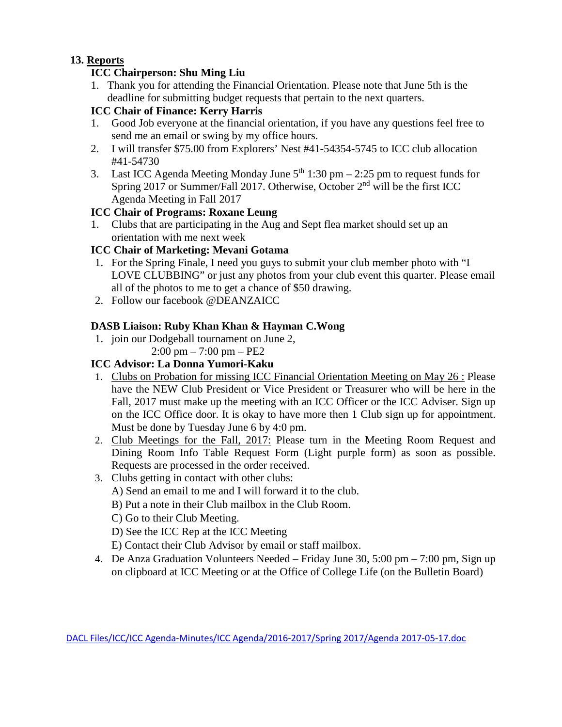# **13. Reports**

# **ICC Chairperson: Shu Ming Liu**

1. Thank you for attending the Financial Orientation. Please note that June 5th is the deadline for submitting budget requests that pertain to the next quarters.

# **ICC Chair of Finance: Kerry Harris**

- 1. Good Job everyone at the financial orientation, if you have any questions feel free to send me an email or swing by my office hours.
- 2. I will transfer \$75.00 from Explorers' Nest #41-54354-5745 to ICC club allocation #41-54730
- 3. Last ICC Agenda Meeting Monday June  $5<sup>th</sup> 1:30$  pm  $2:25$  pm to request funds for Spring 2017 or Summer/Fall 2017. Otherwise, October  $2<sup>nd</sup>$  will be the first ICC Agenda Meeting in Fall 2017

# **ICC Chair of Programs: Roxane Leung**

1. Clubs that are participating in the Aug and Sept flea market should set up an orientation with me next week

# **ICC Chair of Marketing: Mevani Gotama**

- 1. For the Spring Finale, I need you guys to submit your club member photo with "I LOVE CLUBBING" or just any photos from your club event this quarter. Please email all of the photos to me to get a chance of \$50 drawing.
- 2. Follow our facebook @DEANZAICC

# **DASB Liaison: Ruby Khan Khan & Hayman C.Wong**

- 1. join our Dodgeball tournament on June 2,
	- 2:00 pm 7:00 pm PE2

# **ICC Advisor: La Donna Yumori-Kaku**

- 1. Clubs on Probation for missing ICC Financial Orientation Meeting on May 26 : Please have the NEW Club President or Vice President or Treasurer who will be here in the Fall, 2017 must make up the meeting with an ICC Officer or the ICC Adviser. Sign up on the ICC Office door. It is okay to have more then 1 Club sign up for appointment. Must be done by Tuesday June 6 by 4:0 pm.
- 2. Club Meetings for the Fall, 2017: Please turn in the Meeting Room Request and Dining Room Info Table Request Form (Light purple form) as soon as possible. Requests are processed in the order received.
- 3. Clubs getting in contact with other clubs:
	- A) Send an email to me and I will forward it to the club.
	- B) Put a note in their Club mailbox in the Club Room.
	- C) Go to their Club Meeting.
	- D) See the ICC Rep at the ICC Meeting
	- E) Contact their Club Advisor by email or staff mailbox.
- 4. De Anza Graduation Volunteers Needed Friday June 30, 5:00 pm 7:00 pm, Sign up on clipboard at ICC Meeting or at the Office of College Life (on the Bulletin Board)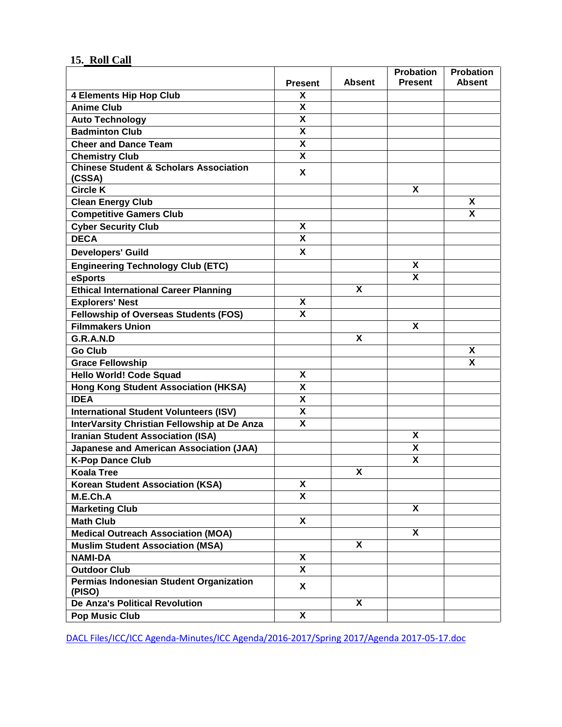# **15. Roll Call**

|                                                             | <b>Present</b>            | Absent | <b>Probation</b><br><b>Present</b> | <b>Probation</b><br><b>Absent</b> |
|-------------------------------------------------------------|---------------------------|--------|------------------------------------|-----------------------------------|
| <b>4 Elements Hip Hop Club</b>                              | X                         |        |                                    |                                   |
| <b>Anime Club</b>                                           | X                         |        |                                    |                                   |
| <b>Auto Technology</b>                                      | $\boldsymbol{\mathsf{x}}$ |        |                                    |                                   |
| <b>Badminton Club</b>                                       | X                         |        |                                    |                                   |
| <b>Cheer and Dance Team</b>                                 | X                         |        |                                    |                                   |
| <b>Chemistry Club</b>                                       | X                         |        |                                    |                                   |
| <b>Chinese Student &amp; Scholars Association</b><br>(CSSA) | X                         |        |                                    |                                   |
| <b>Circle K</b>                                             |                           |        | X                                  |                                   |
| <b>Clean Energy Club</b>                                    |                           |        |                                    | X                                 |
| <b>Competitive Gamers Club</b>                              |                           |        |                                    | X                                 |
| <b>Cyber Security Club</b>                                  | X                         |        |                                    |                                   |
| <b>DECA</b>                                                 | $\overline{\mathbf{x}}$   |        |                                    |                                   |
| <b>Developers' Guild</b>                                    | X                         |        |                                    |                                   |
| <b>Engineering Technology Club (ETC)</b>                    |                           |        | X                                  |                                   |
| eSports                                                     |                           |        | X                                  |                                   |
| <b>Ethical International Career Planning</b>                |                           | X      |                                    |                                   |
| <b>Explorers' Nest</b>                                      | X                         |        |                                    |                                   |
| Fellowship of Overseas Students (FOS)                       | X                         |        |                                    |                                   |
| <b>Filmmakers Union</b>                                     |                           |        | $\overline{\mathsf{x}}$            |                                   |
| G.R.A.N.D                                                   |                           | X      |                                    |                                   |
| <b>Go Club</b>                                              |                           |        |                                    | X                                 |
| <b>Grace Fellowship</b>                                     |                           |        |                                    | X                                 |
| <b>Hello World! Code Squad</b>                              | X                         |        |                                    |                                   |
| <b>Hong Kong Student Association (HKSA)</b>                 | $\overline{\mathbf{X}}$   |        |                                    |                                   |
| <b>IDEA</b>                                                 | X                         |        |                                    |                                   |
| <b>International Student Volunteers (ISV)</b>               | $\overline{\mathbf{X}}$   |        |                                    |                                   |
| InterVarsity Christian Fellowship at De Anza                | $\overline{\mathbf{x}}$   |        |                                    |                                   |
| <b>Iranian Student Association (ISA)</b>                    |                           |        | X                                  |                                   |
| Japanese and American Association (JAA)                     |                           |        | χ                                  |                                   |
| <b>K-Pop Dance Club</b>                                     |                           |        | $\overline{\mathbf{X}}$            |                                   |
| <b>Koala Tree</b>                                           |                           | X      |                                    |                                   |
| <b>Korean Student Association (KSA)</b>                     | X                         |        |                                    |                                   |
| M.E.Ch.A                                                    | X                         |        |                                    |                                   |
| <b>Marketing Club</b>                                       |                           |        | X                                  |                                   |
| <b>Math Club</b>                                            | X                         |        |                                    |                                   |
| <b>Medical Outreach Association (MOA)</b>                   |                           |        | X                                  |                                   |
| <b>Muslim Student Association (MSA)</b>                     |                           | X      |                                    |                                   |
| <b>NAMI-DA</b>                                              | X                         |        |                                    |                                   |
| <b>Outdoor Club</b>                                         | X                         |        |                                    |                                   |
| Permias Indonesian Student Organization<br>(PISO)           | X                         |        |                                    |                                   |
| <b>De Anza's Political Revolution</b>                       |                           | X      |                                    |                                   |
| <b>Pop Music Club</b>                                       | X                         |        |                                    |                                   |